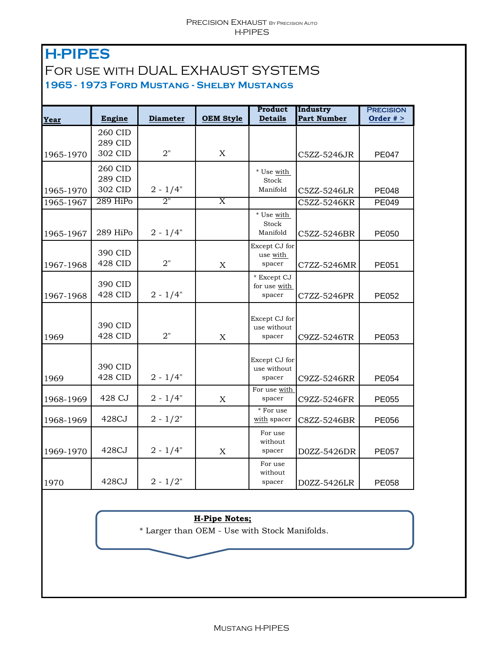## **H-PIPES**  For use with DUAL EXHAUST SYSTEMS **1965 - 1973 Ford Mustang - Shelby Mustangs**

|           |                |                 |                           | Product                   | Industry           | <b>PRECISION</b> |
|-----------|----------------|-----------------|---------------------------|---------------------------|--------------------|------------------|
| Year      | Engine         | <b>Diameter</b> | <b>OEM Style</b>          | <b>Details</b>            | <b>Part Number</b> | Order $#$ >      |
|           | 260 CID        |                 |                           |                           |                    |                  |
|           | 289 CID        |                 |                           |                           |                    |                  |
| 1965-1970 | 302 CID        | 2"              | $\boldsymbol{\mathrm{X}}$ |                           | C5ZZ-5246JR        | <b>PE047</b>     |
|           | 260 CID        |                 |                           | * Use with                |                    |                  |
|           | 289 CID        |                 |                           | Stock                     |                    |                  |
| 1965-1970 | 302 CID        | $2 - 1/4"$      |                           | Manifold                  | C5ZZ-5246LR        | <b>PE048</b>     |
| 1965-1967 | 289 HiPo       | 2"              | $\overline{\text{X}}$     |                           | C5ZZ-5246KR        | PE049            |
|           |                |                 |                           | * Use with                |                    |                  |
|           | 289 HiPo       | $2 - 1/4"$      |                           | Stock<br>Manifold         |                    |                  |
| 1965-1967 |                |                 |                           |                           | C5ZZ-5246BR        | PE050            |
|           | 390 CID        |                 |                           | Except CJ for<br>use with |                    |                  |
| 1967-1968 | 428 CID        | 2"              | $\mathbf X$               | spacer                    | C7ZZ-5246MR        | PE051            |
|           |                |                 |                           | * Except CJ               |                    |                  |
|           | 390 CID        |                 |                           | for use with              |                    |                  |
| 1967-1968 | <b>428 CID</b> | $2 - 1/4"$      |                           | spacer                    | C7ZZ-5246PR        | PE052            |
|           |                |                 |                           |                           |                    |                  |
|           | 390 CID        |                 |                           | Except CJ for             |                    |                  |
| 1969      | <b>428 CID</b> | 2"              | $\mathbf X$               | use without<br>spacer     | C9ZZ-5246TR        | PE053            |
|           |                |                 |                           |                           |                    |                  |
|           |                |                 |                           | Except CJ for             |                    |                  |
|           | 390 CID        |                 |                           | use without               |                    |                  |
| 1969      | <b>428 CID</b> | $2 - 1/4"$      |                           | spacer                    | C9ZZ-5246RR        | PE054            |
|           |                |                 |                           | For use with              |                    |                  |
| 1968-1969 | 428 CJ         | $2 - 1/4"$      | $\boldsymbol{\mathrm{X}}$ | spacer                    | C9ZZ-5246FR        | PE055            |
| 1968-1969 | 428CJ          | $2 - 1/2"$      |                           | * For use<br>with spacer  | C8ZZ-5246BR        | PE056            |
|           |                |                 |                           | For use                   |                    |                  |
|           |                |                 |                           | without                   |                    |                  |
| 1969-1970 | 428CJ          | $2 - 1/4"$      | $\mathbf X$               | spacer                    | D0ZZ-5426DR        | <b>PE057</b>     |
|           |                |                 |                           | For use                   |                    |                  |
|           | 428CJ          |                 |                           | without                   |                    |                  |
| 1970      |                | $2 - 1/2"$      |                           | spacer                    | D0ZZ-5426LR        | <b>PE058</b>     |

## **H-Pipe Notes;**

\* Larger than OEM - Use with Stock Manifolds.